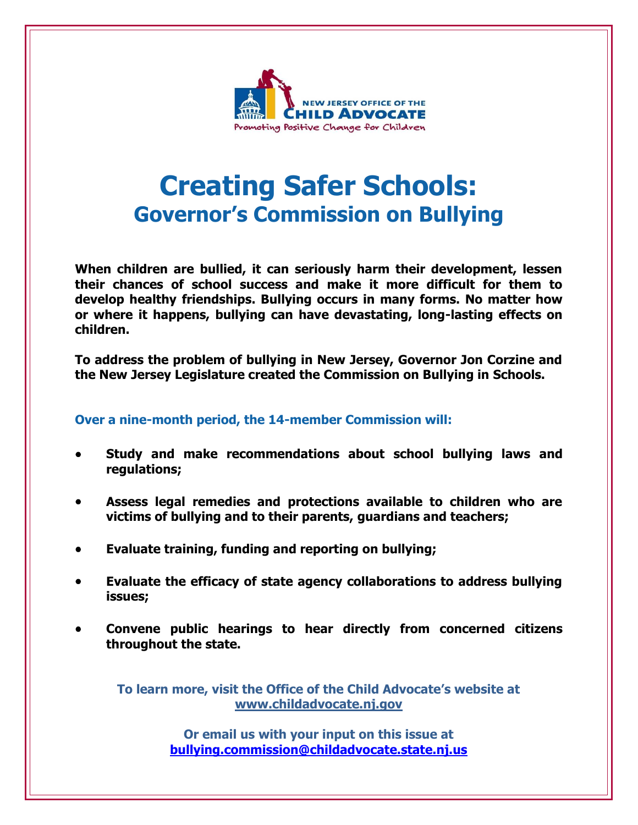

## **Creating Safer Schools: Governor's Commission on Bullying**

**When children are bullied, it can seriously harm their development, lessen their chances of school success and make it more difficult for them to develop healthy friendships. Bullying occurs in many forms. No matter how or where it happens, bullying can have devastating, long-lasting effects on children.**

**To address the problem of bullying in New Jersey, Governor Jon Corzine and the New Jersey Legislature created the Commission on Bullying in Schools.**

#### **Over a nine-month period, the 14-member Commission will:**

- **Study and make recommendations about school bullying laws and regulations;**
- **Assess legal remedies and protections available to children who are victims of bullying and to their parents, guardians and teachers;**
- **Evaluate training, funding and reporting on bullying;**
- **Evaluate the efficacy of state agency collaborations to address bullying issues;**
- **Convene public hearings to hear directly from concerned citizens throughout the state.**

**To learn more, visit the Office of the Child Advocate's website at [www.childadvocate.nj.gov](http://www.childadvocate.nj.gov/)**

> **Or email us with your input on this issue at [bullying.commission@childadvocate.state.nj.us](mailto:bullying.commission@childadvocate.state.nj.us)**